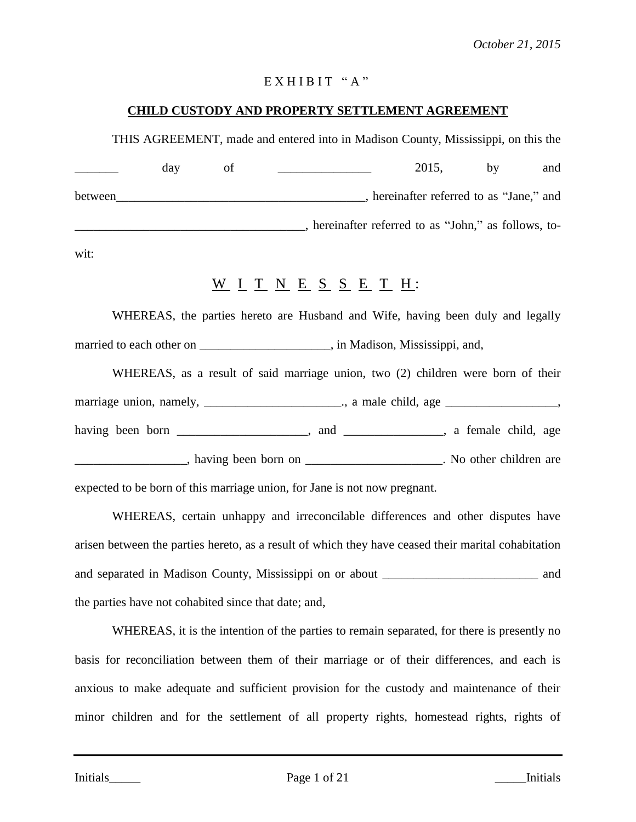# $EX H I B I T "A"$

# **CHILD CUSTODY AND PROPERTY SETTLEMENT AGREEMENT**

THIS AGREEMENT, made and entered into in Madison County, Mississippi, on this the

|         | day | ΩŤ | 2015,                                              | hv | and |
|---------|-----|----|----------------------------------------------------|----|-----|
| between |     |    | hereinafter referred to as "Jane," and             |    |     |
|         |     |    | hereinafter referred to as "John," as follows, to- |    |     |

wit:

# $\underline{W}$  <u>I T N E S S E T H</u>:

WHEREAS, the parties hereto are Husband and Wife, having been duly and legally married to each other on \_\_\_\_\_\_\_\_\_\_\_\_\_\_\_\_\_\_\_\_\_, in Madison, Mississippi, and,

| WHEREAS, as a result of said marriage union, two (2) children were born of their                                                                                                                                              |  |  |  |  |  |
|-------------------------------------------------------------------------------------------------------------------------------------------------------------------------------------------------------------------------------|--|--|--|--|--|
| marriage union, namely, ________________________________, a male child, age _____________________,                                                                                                                            |  |  |  |  |  |
|                                                                                                                                                                                                                               |  |  |  |  |  |
| having been born on New York Changes are not been born on New York Changes and New York Changes are not been born on New York Changes and New York Changes are not been born on New York Changes and New York Changes and New |  |  |  |  |  |

expected to be born of this marriage union, for Jane is not now pregnant.

WHEREAS, certain unhappy and irreconcilable differences and other disputes have arisen between the parties hereto, as a result of which they have ceased their marital cohabitation and separated in Madison County, Mississippi on or about \_\_\_\_\_\_\_\_\_\_\_\_\_\_\_\_\_\_\_\_\_\_\_\_\_ and the parties have not cohabited since that date; and,

WHEREAS, it is the intention of the parties to remain separated, for there is presently no basis for reconciliation between them of their marriage or of their differences, and each is anxious to make adequate and sufficient provision for the custody and maintenance of their minor children and for the settlement of all property rights, homestead rights, rights of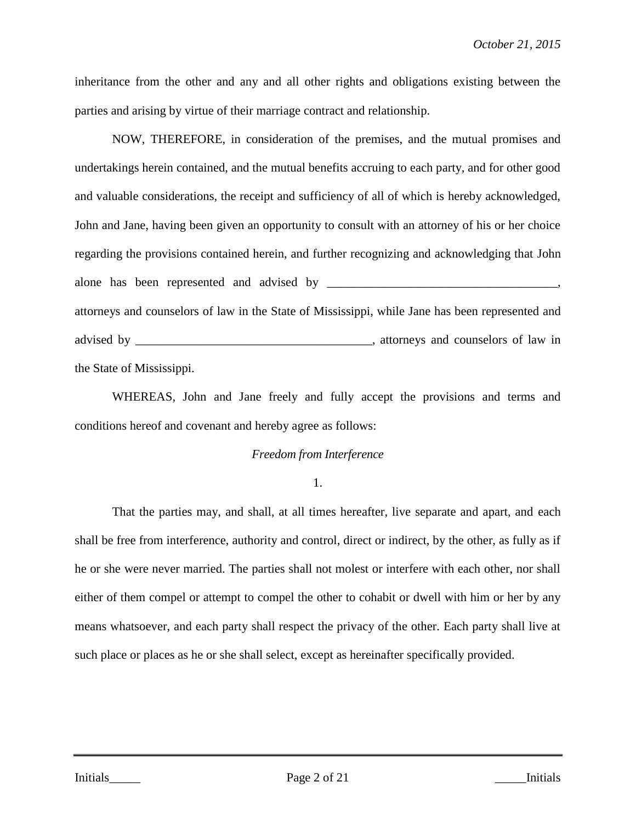inheritance from the other and any and all other rights and obligations existing between the parties and arising by virtue of their marriage contract and relationship.

NOW, THEREFORE, in consideration of the premises, and the mutual promises and undertakings herein contained, and the mutual benefits accruing to each party, and for other good and valuable considerations, the receipt and sufficiency of all of which is hereby acknowledged, John and Jane, having been given an opportunity to consult with an attorney of his or her choice regarding the provisions contained herein, and further recognizing and acknowledging that John alone has been represented and advised by \_\_\_\_\_\_\_\_\_\_\_\_\_\_\_\_\_\_\_\_\_\_\_\_\_\_\_\_\_\_\_\_\_\_\_\_\_, attorneys and counselors of law in the State of Mississippi, while Jane has been represented and advised by \_\_\_\_\_\_\_\_\_\_\_\_\_\_\_\_\_\_\_\_\_\_\_\_\_\_\_\_\_\_\_\_\_\_\_\_\_\_, attorneys and counselors of law in the State of Mississippi.

WHEREAS, John and Jane freely and fully accept the provisions and terms and conditions hereof and covenant and hereby agree as follows:

#### *Freedom from Interference*

1.

That the parties may, and shall, at all times hereafter, live separate and apart, and each shall be free from interference, authority and control, direct or indirect, by the other, as fully as if he or she were never married. The parties shall not molest or interfere with each other, nor shall either of them compel or attempt to compel the other to cohabit or dwell with him or her by any means whatsoever, and each party shall respect the privacy of the other. Each party shall live at such place or places as he or she shall select, except as hereinafter specifically provided.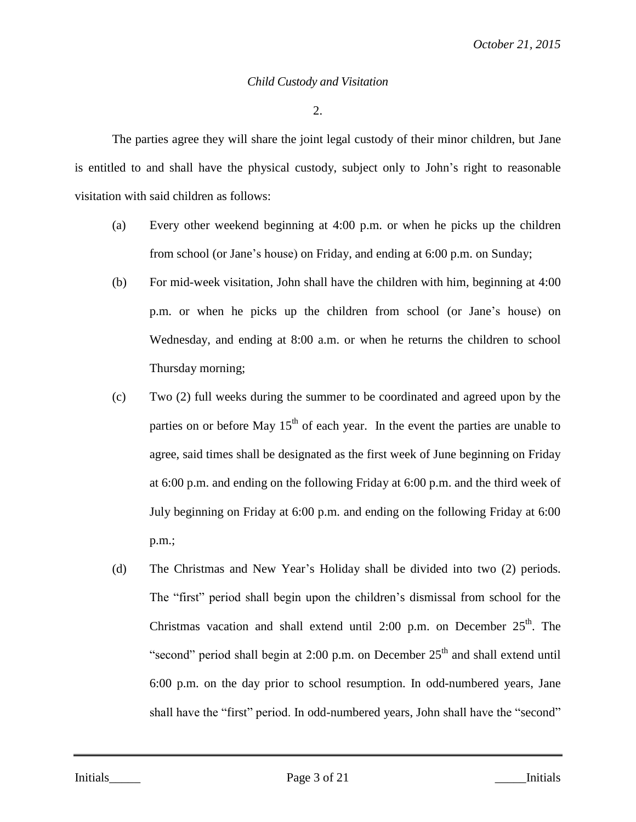#### *Child Custody and Visitation*

2.

The parties agree they will share the joint legal custody of their minor children, but Jane is entitled to and shall have the physical custody, subject only to John's right to reasonable visitation with said children as follows:

- (a) Every other weekend beginning at 4:00 p.m. or when he picks up the children from school (or Jane's house) on Friday, and ending at 6:00 p.m. on Sunday;
- (b) For mid-week visitation, John shall have the children with him, beginning at 4:00 p.m. or when he picks up the children from school (or Jane's house) on Wednesday, and ending at 8:00 a.m. or when he returns the children to school Thursday morning;
- (c) Two (2) full weeks during the summer to be coordinated and agreed upon by the parties on or before May  $15<sup>th</sup>$  of each year. In the event the parties are unable to agree, said times shall be designated as the first week of June beginning on Friday at 6:00 p.m. and ending on the following Friday at 6:00 p.m. and the third week of July beginning on Friday at 6:00 p.m. and ending on the following Friday at 6:00 p.m.;
- (d) The Christmas and New Year's Holiday shall be divided into two (2) periods. The "first" period shall begin upon the children's dismissal from school for the Christmas vacation and shall extend until 2:00 p.m. on December  $25<sup>th</sup>$ . The "second" period shall begin at 2:00 p.m. on December  $25<sup>th</sup>$  and shall extend until 6:00 p.m. on the day prior to school resumption. In odd-numbered years, Jane shall have the "first" period. In odd-numbered years, John shall have the "second"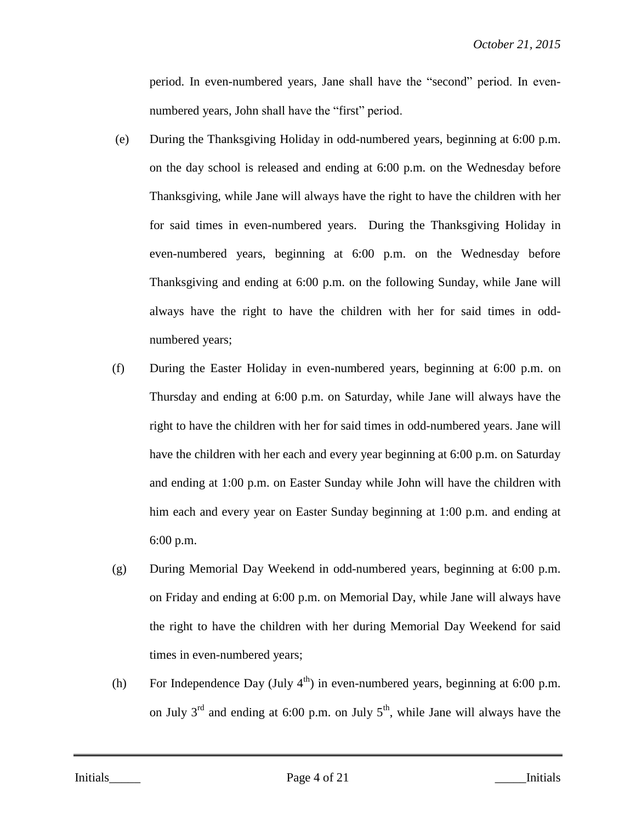period. In even-numbered years, Jane shall have the "second" period. In evennumbered years, John shall have the "first" period.

- (e) During the Thanksgiving Holiday in odd-numbered years, beginning at 6:00 p.m. on the day school is released and ending at 6:00 p.m. on the Wednesday before Thanksgiving, while Jane will always have the right to have the children with her for said times in even-numbered years. During the Thanksgiving Holiday in even-numbered years, beginning at 6:00 p.m. on the Wednesday before Thanksgiving and ending at 6:00 p.m. on the following Sunday, while Jane will always have the right to have the children with her for said times in oddnumbered years;
- (f) During the Easter Holiday in even-numbered years, beginning at 6:00 p.m. on Thursday and ending at 6:00 p.m. on Saturday, while Jane will always have the right to have the children with her for said times in odd-numbered years. Jane will have the children with her each and every year beginning at 6:00 p.m. on Saturday and ending at 1:00 p.m. on Easter Sunday while John will have the children with him each and every year on Easter Sunday beginning at 1:00 p.m. and ending at 6:00 p.m.
- (g) During Memorial Day Weekend in odd-numbered years, beginning at 6:00 p.m. on Friday and ending at 6:00 p.m. on Memorial Day, while Jane will always have the right to have the children with her during Memorial Day Weekend for said times in even-numbered years;
- (h) For Independence Day (July  $4<sup>th</sup>$ ) in even-numbered years, beginning at 6:00 p.m. on July  $3^{rd}$  and ending at 6:00 p.m. on July  $5^{th}$ , while Jane will always have the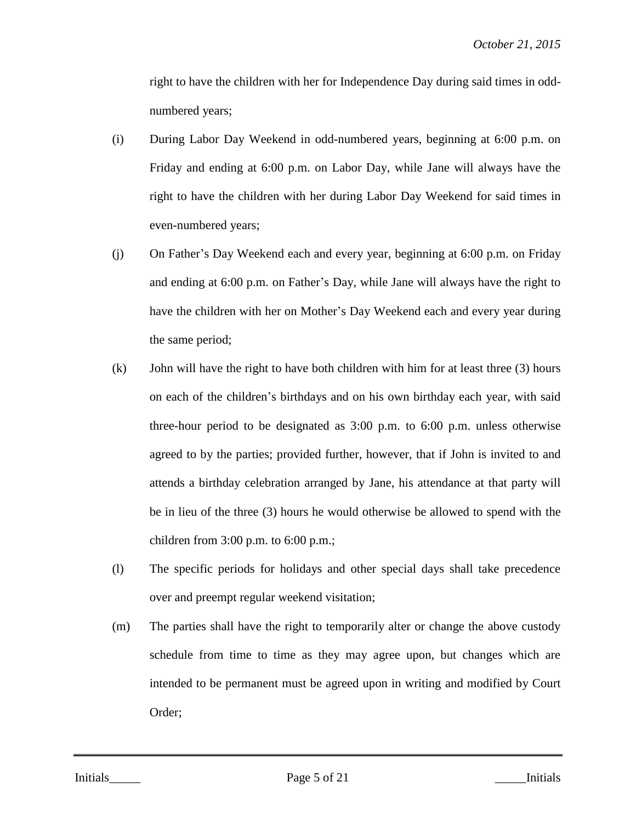right to have the children with her for Independence Day during said times in oddnumbered years;

- (i) During Labor Day Weekend in odd-numbered years, beginning at 6:00 p.m. on Friday and ending at 6:00 p.m. on Labor Day, while Jane will always have the right to have the children with her during Labor Day Weekend for said times in even-numbered years;
- (j) On Father's Day Weekend each and every year, beginning at 6:00 p.m. on Friday and ending at 6:00 p.m. on Father's Day, while Jane will always have the right to have the children with her on Mother's Day Weekend each and every year during the same period;
- (k) John will have the right to have both children with him for at least three (3) hours on each of the children's birthdays and on his own birthday each year, with said three-hour period to be designated as 3:00 p.m. to 6:00 p.m. unless otherwise agreed to by the parties; provided further, however, that if John is invited to and attends a birthday celebration arranged by Jane, his attendance at that party will be in lieu of the three (3) hours he would otherwise be allowed to spend with the children from  $3:00$  p.m. to  $6:00$  p.m.;
- (l) The specific periods for holidays and other special days shall take precedence over and preempt regular weekend visitation;
- (m) The parties shall have the right to temporarily alter or change the above custody schedule from time to time as they may agree upon, but changes which are intended to be permanent must be agreed upon in writing and modified by Court Order;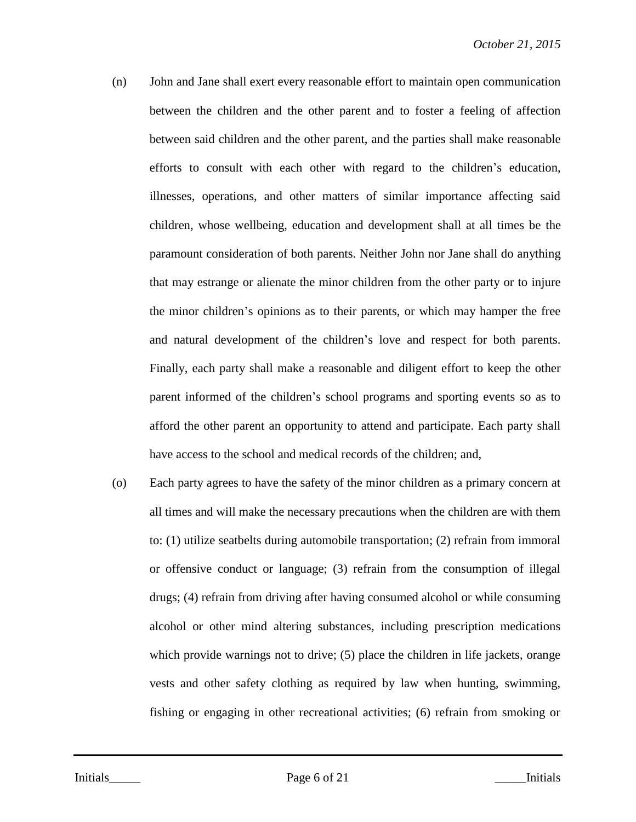- (n) John and Jane shall exert every reasonable effort to maintain open communication between the children and the other parent and to foster a feeling of affection between said children and the other parent, and the parties shall make reasonable efforts to consult with each other with regard to the children's education, illnesses, operations, and other matters of similar importance affecting said children, whose wellbeing, education and development shall at all times be the paramount consideration of both parents. Neither John nor Jane shall do anything that may estrange or alienate the minor children from the other party or to injure the minor children's opinions as to their parents, or which may hamper the free and natural development of the children's love and respect for both parents. Finally, each party shall make a reasonable and diligent effort to keep the other parent informed of the children's school programs and sporting events so as to afford the other parent an opportunity to attend and participate. Each party shall have access to the school and medical records of the children; and,
- (o) Each party agrees to have the safety of the minor children as a primary concern at all times and will make the necessary precautions when the children are with them to: (1) utilize seatbelts during automobile transportation; (2) refrain from immoral or offensive conduct or language; (3) refrain from the consumption of illegal drugs; (4) refrain from driving after having consumed alcohol or while consuming alcohol or other mind altering substances, including prescription medications which provide warnings not to drive; (5) place the children in life jackets, orange vests and other safety clothing as required by law when hunting, swimming, fishing or engaging in other recreational activities; (6) refrain from smoking or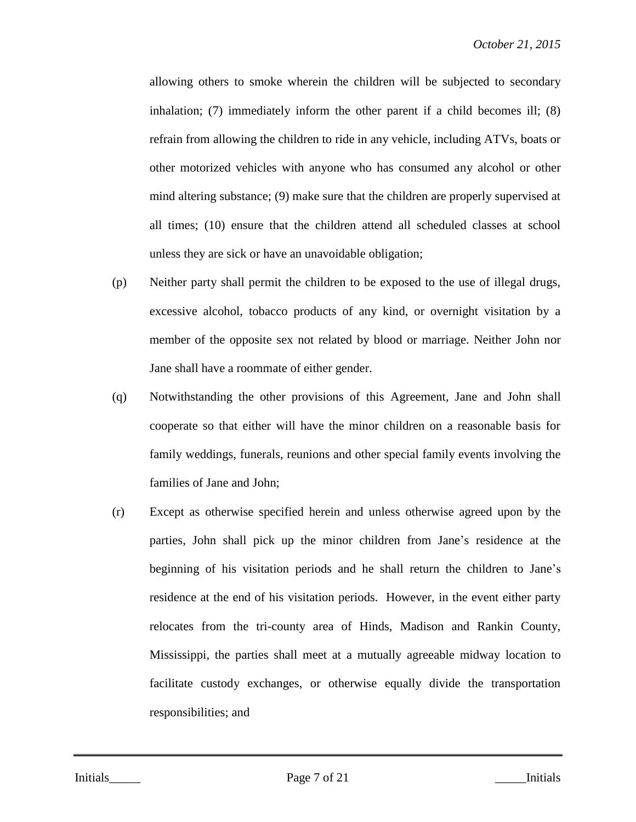allowing others to smoke wherein the children will be subjected to secondary inhalation; (7) immediately inform the other parent if a child becomes ill; (8) refrain from allowing the children to ride in any vehicle, including ATVs, boats or other motorized vehicles with anyone who has consumed any alcohol or other mind altering substance; (9) make sure that the children are properly supervised at all times; (10) ensure that the children attend all scheduled classes at school unless they are sick or have an unavoidable obligation;

- (p) Neither party shall permit the children to be exposed to the use of illegal drugs, excessive alcohol, tobacco products of any kind, or overnight visitation by a member of the opposite sex not related by blood or marriage. Neither John nor Jane shall have a roommate of either gender.
- (q) Notwithstanding the other provisions of this Agreement, Jane and John shall cooperate so that either will have the minor children on a reasonable basis for family weddings, funerals, reunions and other special family events involving the families of Jane and John;
- (r) Except as otherwise specified herein and unless otherwise agreed upon by the parties, John shall pick up the minor children from Jane's residence at the beginning of his visitation periods and he shall return the children to Jane's residence at the end of his visitation periods. However, in the event either party relocates from the tri-county area of Hinds, Madison and Rankin County, Mississippi, the parties shall meet at a mutually agreeable midway location to facilitate custody exchanges, or otherwise equally divide the transportation responsibilities; and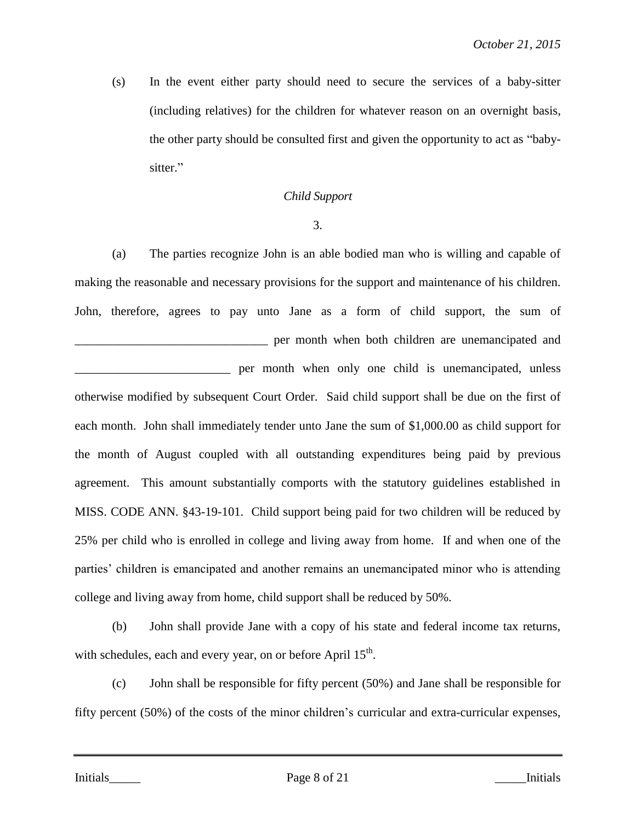(s) In the event either party should need to secure the services of a baby-sitter (including relatives) for the children for whatever reason on an overnight basis, the other party should be consulted first and given the opportunity to act as "babysitter."

# *Child Support*

3.

(a) The parties recognize John is an able bodied man who is willing and capable of making the reasonable and necessary provisions for the support and maintenance of his children. John, therefore, agrees to pay unto Jane as a form of child support, the sum of **EXECUTE:** per month when both children are unemancipated and per month when only one child is unemancipated, unless otherwise modified by subsequent Court Order. Said child support shall be due on the first of each month. John shall immediately tender unto Jane the sum of \$1,000.00 as child support for the month of August coupled with all outstanding expenditures being paid by previous agreement. This amount substantially comports with the statutory guidelines established in MISS. CODE ANN. §43-19-101. Child support being paid for two children will be reduced by 25% per child who is enrolled in college and living away from home. If and when one of the parties' children is emancipated and another remains an unemancipated minor who is attending college and living away from home, child support shall be reduced by 50%.

(b) John shall provide Jane with a copy of his state and federal income tax returns, with schedules, each and every year, on or before April  $15<sup>th</sup>$ .

(c) John shall be responsible for fifty percent (50%) and Jane shall be responsible for fifty percent (50%) of the costs of the minor children's curricular and extra-curricular expenses,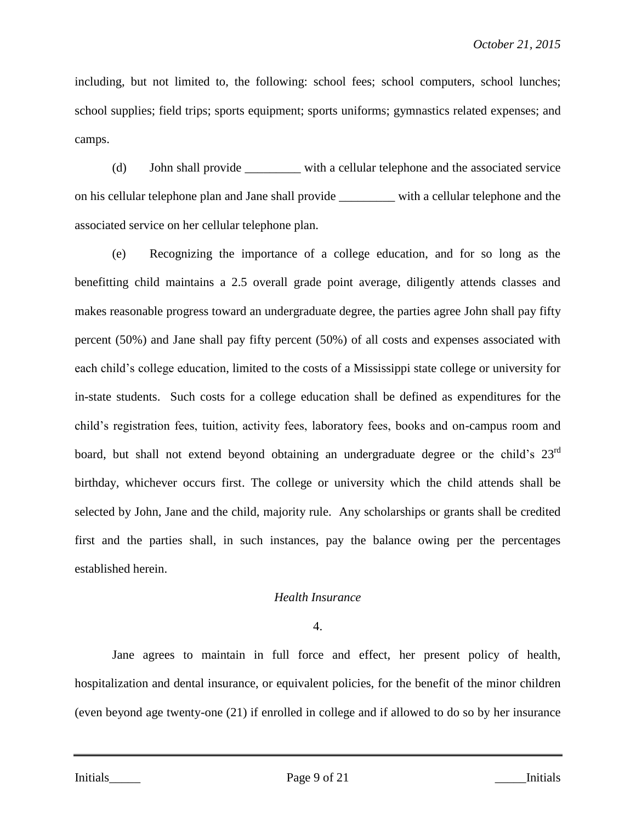including, but not limited to, the following: school fees; school computers, school lunches; school supplies; field trips; sports equipment; sports uniforms; gymnastics related expenses; and camps.

(d) John shall provide \_\_\_\_\_\_\_\_\_ with a cellular telephone and the associated service on his cellular telephone plan and Jane shall provide \_\_\_\_\_\_\_\_\_ with a cellular telephone and the associated service on her cellular telephone plan.

(e) Recognizing the importance of a college education, and for so long as the benefitting child maintains a 2.5 overall grade point average, diligently attends classes and makes reasonable progress toward an undergraduate degree, the parties agree John shall pay fifty percent (50%) and Jane shall pay fifty percent (50%) of all costs and expenses associated with each child's college education, limited to the costs of a Mississippi state college or university for in-state students. Such costs for a college education shall be defined as expenditures for the child's registration fees, tuition, activity fees, laboratory fees, books and on-campus room and board, but shall not extend beyond obtaining an undergraduate degree or the child's 23<sup>rd</sup> birthday, whichever occurs first. The college or university which the child attends shall be selected by John, Jane and the child, majority rule. Any scholarships or grants shall be credited first and the parties shall, in such instances, pay the balance owing per the percentages established herein.

# *Health Insurance*

# 4.

Jane agrees to maintain in full force and effect, her present policy of health, hospitalization and dental insurance, or equivalent policies, for the benefit of the minor children (even beyond age twenty-one (21) if enrolled in college and if allowed to do so by her insurance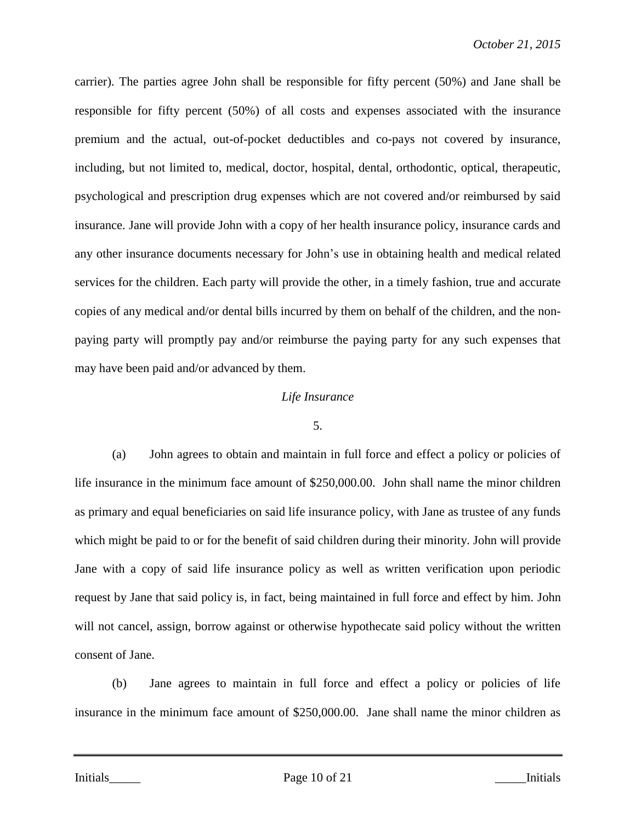carrier). The parties agree John shall be responsible for fifty percent (50%) and Jane shall be responsible for fifty percent (50%) of all costs and expenses associated with the insurance premium and the actual, out-of-pocket deductibles and co-pays not covered by insurance, including, but not limited to, medical, doctor, hospital, dental, orthodontic, optical, therapeutic, psychological and prescription drug expenses which are not covered and/or reimbursed by said insurance. Jane will provide John with a copy of her health insurance policy, insurance cards and any other insurance documents necessary for John's use in obtaining health and medical related services for the children. Each party will provide the other, in a timely fashion, true and accurate copies of any medical and/or dental bills incurred by them on behalf of the children, and the nonpaying party will promptly pay and/or reimburse the paying party for any such expenses that may have been paid and/or advanced by them.

# *Life Insurance*

#### 5.

(a) John agrees to obtain and maintain in full force and effect a policy or policies of life insurance in the minimum face amount of \$250,000.00. John shall name the minor children as primary and equal beneficiaries on said life insurance policy, with Jane as trustee of any funds which might be paid to or for the benefit of said children during their minority. John will provide Jane with a copy of said life insurance policy as well as written verification upon periodic request by Jane that said policy is, in fact, being maintained in full force and effect by him. John will not cancel, assign, borrow against or otherwise hypothecate said policy without the written consent of Jane.

(b) Jane agrees to maintain in full force and effect a policy or policies of life insurance in the minimum face amount of \$250,000.00. Jane shall name the minor children as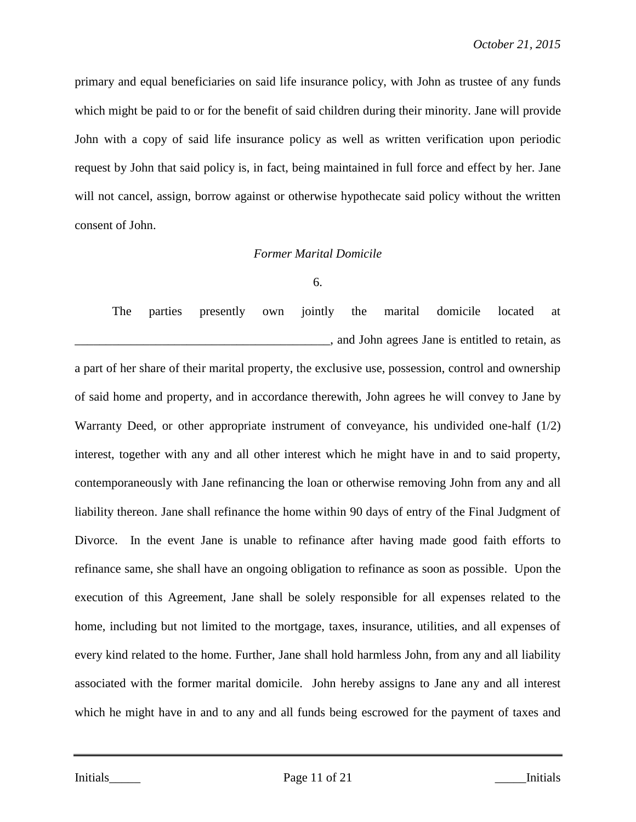primary and equal beneficiaries on said life insurance policy, with John as trustee of any funds which might be paid to or for the benefit of said children during their minority. Jane will provide John with a copy of said life insurance policy as well as written verification upon periodic request by John that said policy is, in fact, being maintained in full force and effect by her. Jane will not cancel, assign, borrow against or otherwise hypothecate said policy without the written consent of John.

# *Former Marital Domicile*

### 6.

The parties presently own jointly the marital domicile located at  $\Box$ , and John agrees Jane is entitled to retain, as

a part of her share of their marital property, the exclusive use, possession, control and ownership of said home and property, and in accordance therewith, John agrees he will convey to Jane by Warranty Deed, or other appropriate instrument of conveyance, his undivided one-half (1/2) interest, together with any and all other interest which he might have in and to said property, contemporaneously with Jane refinancing the loan or otherwise removing John from any and all liability thereon. Jane shall refinance the home within 90 days of entry of the Final Judgment of Divorce. In the event Jane is unable to refinance after having made good faith efforts to refinance same, she shall have an ongoing obligation to refinance as soon as possible. Upon the execution of this Agreement, Jane shall be solely responsible for all expenses related to the home, including but not limited to the mortgage, taxes, insurance, utilities, and all expenses of every kind related to the home. Further, Jane shall hold harmless John, from any and all liability associated with the former marital domicile. John hereby assigns to Jane any and all interest which he might have in and to any and all funds being escrowed for the payment of taxes and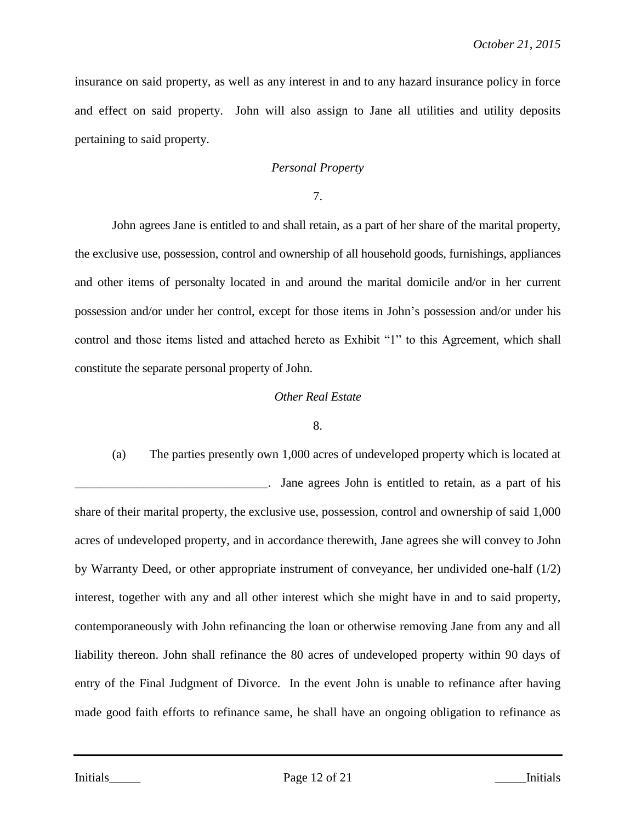insurance on said property, as well as any interest in and to any hazard insurance policy in force and effect on said property. John will also assign to Jane all utilities and utility deposits pertaining to said property.

# *Personal Property*

7.

John agrees Jane is entitled to and shall retain, as a part of her share of the marital property, the exclusive use, possession, control and ownership of all household goods, furnishings, appliances and other items of personalty located in and around the marital domicile and/or in her current possession and/or under her control, except for those items in John's possession and/or under his control and those items listed and attached hereto as Exhibit "1" to this Agreement, which shall constitute the separate personal property of John.

### *Other Real Estate*

#### 8.

(a) The parties presently own 1,000 acres of undeveloped property which is located at Jane agrees John is entitled to retain, as a part of his share of their marital property, the exclusive use, possession, control and ownership of said 1,000 acres of undeveloped property, and in accordance therewith, Jane agrees she will convey to John by Warranty Deed, or other appropriate instrument of conveyance, her undivided one-half (1/2) interest, together with any and all other interest which she might have in and to said property, contemporaneously with John refinancing the loan or otherwise removing Jane from any and all liability thereon. John shall refinance the 80 acres of undeveloped property within 90 days of entry of the Final Judgment of Divorce. In the event John is unable to refinance after having made good faith efforts to refinance same, he shall have an ongoing obligation to refinance as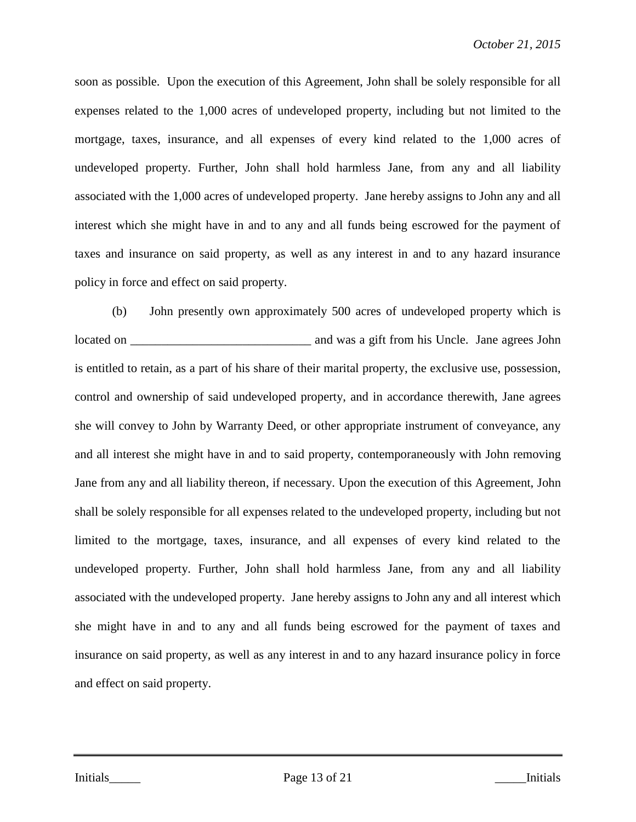soon as possible. Upon the execution of this Agreement, John shall be solely responsible for all expenses related to the 1,000 acres of undeveloped property, including but not limited to the mortgage, taxes, insurance, and all expenses of every kind related to the 1,000 acres of undeveloped property. Further, John shall hold harmless Jane, from any and all liability associated with the 1,000 acres of undeveloped property. Jane hereby assigns to John any and all interest which she might have in and to any and all funds being escrowed for the payment of taxes and insurance on said property, as well as any interest in and to any hazard insurance policy in force and effect on said property.

(b) John presently own approximately 500 acres of undeveloped property which is located on \_\_\_\_\_\_\_\_\_\_\_\_\_\_\_\_\_\_\_\_\_\_\_\_\_\_\_\_\_ and was a gift from his Uncle. Jane agrees John is entitled to retain, as a part of his share of their marital property, the exclusive use, possession, control and ownership of said undeveloped property, and in accordance therewith, Jane agrees she will convey to John by Warranty Deed, or other appropriate instrument of conveyance, any and all interest she might have in and to said property, contemporaneously with John removing Jane from any and all liability thereon, if necessary. Upon the execution of this Agreement, John shall be solely responsible for all expenses related to the undeveloped property, including but not limited to the mortgage, taxes, insurance, and all expenses of every kind related to the undeveloped property. Further, John shall hold harmless Jane, from any and all liability associated with the undeveloped property. Jane hereby assigns to John any and all interest which she might have in and to any and all funds being escrowed for the payment of taxes and insurance on said property, as well as any interest in and to any hazard insurance policy in force and effect on said property.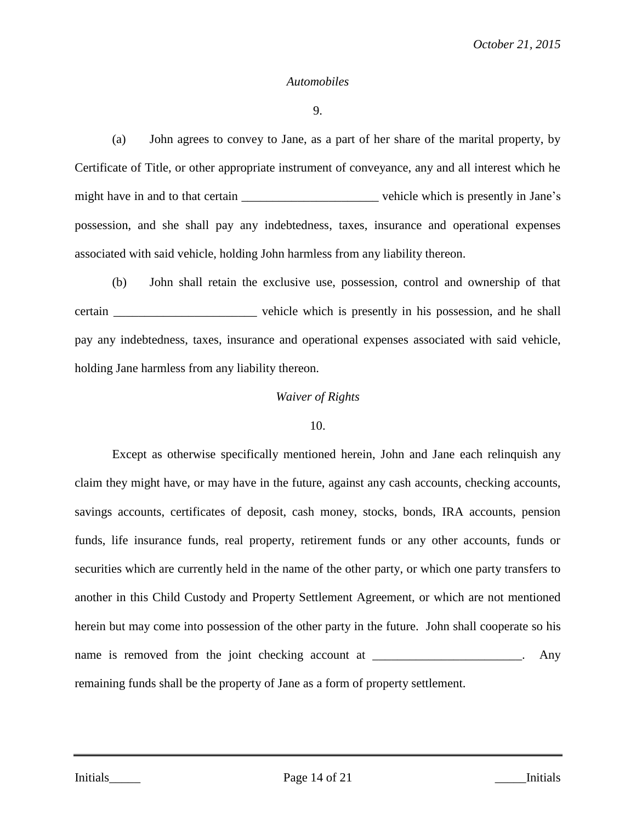#### *Automobiles*

9.

(a) John agrees to convey to Jane, as a part of her share of the marital property, by Certificate of Title, or other appropriate instrument of conveyance, any and all interest which he might have in and to that certain we we hicle which is presently in Jane's possession, and she shall pay any indebtedness, taxes, insurance and operational expenses associated with said vehicle, holding John harmless from any liability thereon.

(b) John shall retain the exclusive use, possession, control and ownership of that certain \_\_\_\_\_\_\_\_\_\_\_\_\_\_\_\_\_\_\_\_\_\_\_ vehicle which is presently in his possession, and he shall pay any indebtedness, taxes, insurance and operational expenses associated with said vehicle, holding Jane harmless from any liability thereon.

### *Waiver of Rights*

#### 10.

Except as otherwise specifically mentioned herein, John and Jane each relinquish any claim they might have, or may have in the future, against any cash accounts, checking accounts, savings accounts, certificates of deposit, cash money, stocks, bonds, IRA accounts, pension funds, life insurance funds, real property, retirement funds or any other accounts, funds or securities which are currently held in the name of the other party, or which one party transfers to another in this Child Custody and Property Settlement Agreement, or which are not mentioned herein but may come into possession of the other party in the future. John shall cooperate so his name is removed from the joint checking account at \_\_\_\_\_\_\_\_\_\_\_\_\_\_\_\_\_\_. Any remaining funds shall be the property of Jane as a form of property settlement.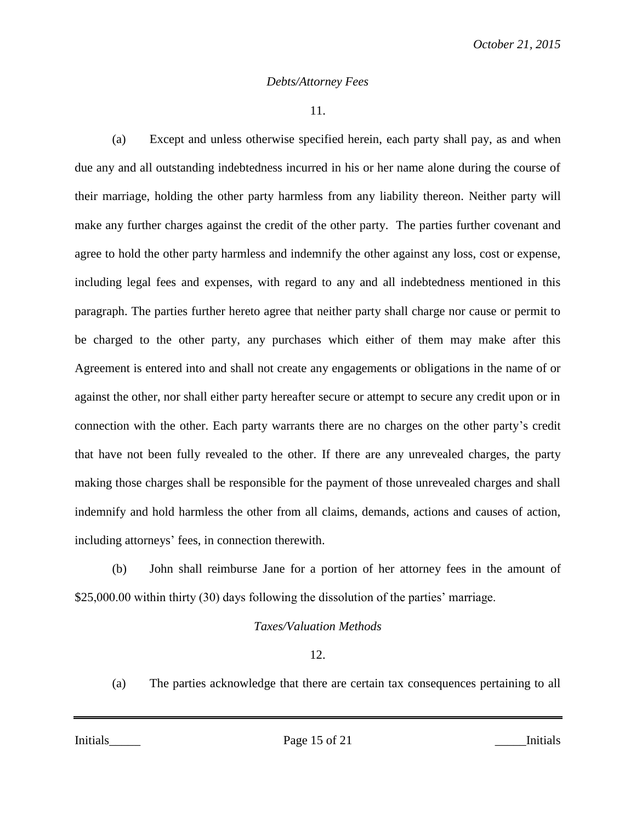# *Debts/Attorney Fees*

11.

(a) Except and unless otherwise specified herein, each party shall pay, as and when due any and all outstanding indebtedness incurred in his or her name alone during the course of their marriage, holding the other party harmless from any liability thereon. Neither party will make any further charges against the credit of the other party. The parties further covenant and agree to hold the other party harmless and indemnify the other against any loss, cost or expense, including legal fees and expenses, with regard to any and all indebtedness mentioned in this paragraph. The parties further hereto agree that neither party shall charge nor cause or permit to be charged to the other party, any purchases which either of them may make after this Agreement is entered into and shall not create any engagements or obligations in the name of or against the other, nor shall either party hereafter secure or attempt to secure any credit upon or in connection with the other. Each party warrants there are no charges on the other party's credit that have not been fully revealed to the other. If there are any unrevealed charges, the party making those charges shall be responsible for the payment of those unrevealed charges and shall indemnify and hold harmless the other from all claims, demands, actions and causes of action, including attorneys' fees, in connection therewith.

(b) John shall reimburse Jane for a portion of her attorney fees in the amount of \$25,000.00 within thirty (30) days following the dissolution of the parties' marriage.

# *Taxes/Valuation Methods*

12.

(a) The parties acknowledge that there are certain tax consequences pertaining to all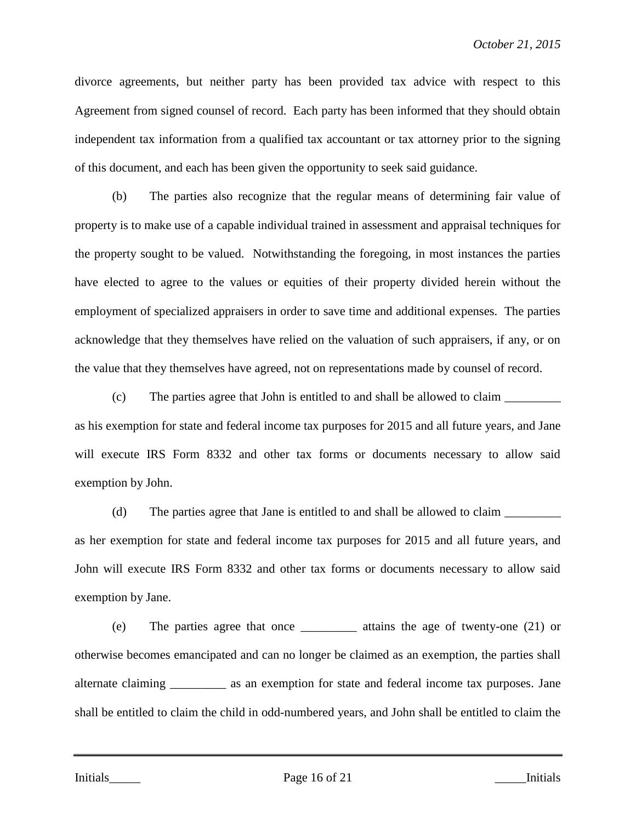divorce agreements, but neither party has been provided tax advice with respect to this Agreement from signed counsel of record. Each party has been informed that they should obtain independent tax information from a qualified tax accountant or tax attorney prior to the signing of this document, and each has been given the opportunity to seek said guidance.

(b) The parties also recognize that the regular means of determining fair value of property is to make use of a capable individual trained in assessment and appraisal techniques for the property sought to be valued. Notwithstanding the foregoing, in most instances the parties have elected to agree to the values or equities of their property divided herein without the employment of specialized appraisers in order to save time and additional expenses. The parties acknowledge that they themselves have relied on the valuation of such appraisers, if any, or on the value that they themselves have agreed, not on representations made by counsel of record.

(c) The parties agree that John is entitled to and shall be allowed to claim \_\_\_\_\_\_\_\_\_ as his exemption for state and federal income tax purposes for 2015 and all future years, and Jane will execute IRS Form 8332 and other tax forms or documents necessary to allow said exemption by John.

(d) The parties agree that Jane is entitled to and shall be allowed to claim as her exemption for state and federal income tax purposes for 2015 and all future years, and John will execute IRS Form 8332 and other tax forms or documents necessary to allow said exemption by Jane.

(e) The parties agree that once \_\_\_\_\_\_\_\_\_ attains the age of twenty-one (21) or otherwise becomes emancipated and can no longer be claimed as an exemption, the parties shall alternate claiming \_\_\_\_\_\_\_\_\_ as an exemption for state and federal income tax purposes. Jane shall be entitled to claim the child in odd-numbered years, and John shall be entitled to claim the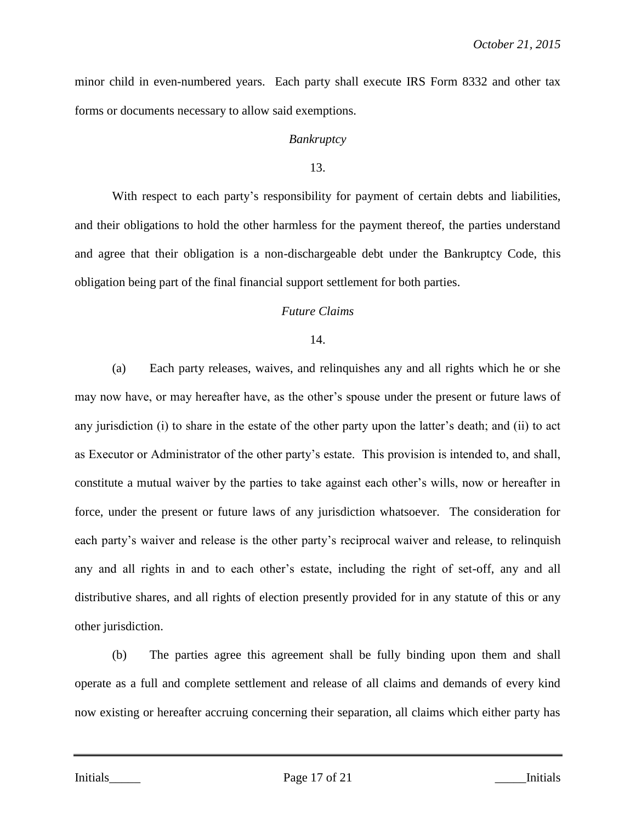minor child in even-numbered years. Each party shall execute IRS Form 8332 and other tax forms or documents necessary to allow said exemptions.

# *Bankruptcy*

13.

With respect to each party's responsibility for payment of certain debts and liabilities, and their obligations to hold the other harmless for the payment thereof, the parties understand and agree that their obligation is a non-dischargeable debt under the Bankruptcy Code, this obligation being part of the final financial support settlement for both parties.

# *Future Claims*

# 14.

(a) Each party releases, waives, and relinquishes any and all rights which he or she may now have, or may hereafter have, as the other's spouse under the present or future laws of any jurisdiction (i) to share in the estate of the other party upon the latter's death; and (ii) to act as Executor or Administrator of the other party's estate. This provision is intended to, and shall, constitute a mutual waiver by the parties to take against each other's wills, now or hereafter in force, under the present or future laws of any jurisdiction whatsoever. The consideration for each party's waiver and release is the other party's reciprocal waiver and release, to relinquish any and all rights in and to each other's estate, including the right of set-off, any and all distributive shares, and all rights of election presently provided for in any statute of this or any other jurisdiction.

(b) The parties agree this agreement shall be fully binding upon them and shall operate as a full and complete settlement and release of all claims and demands of every kind now existing or hereafter accruing concerning their separation, all claims which either party has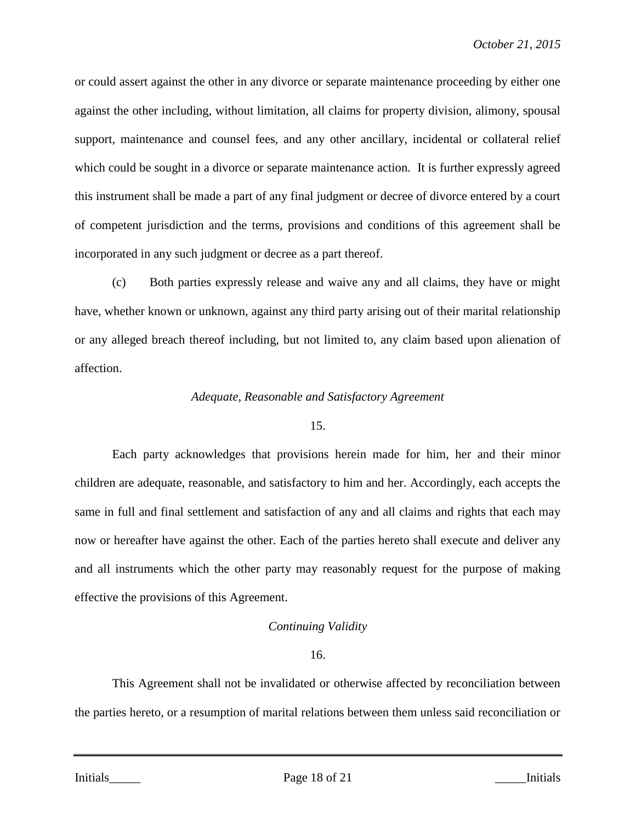or could assert against the other in any divorce or separate maintenance proceeding by either one against the other including, without limitation, all claims for property division, alimony, spousal support, maintenance and counsel fees, and any other ancillary, incidental or collateral relief which could be sought in a divorce or separate maintenance action. It is further expressly agreed this instrument shall be made a part of any final judgment or decree of divorce entered by a court of competent jurisdiction and the terms, provisions and conditions of this agreement shall be incorporated in any such judgment or decree as a part thereof.

(c) Both parties expressly release and waive any and all claims, they have or might have, whether known or unknown, against any third party arising out of their marital relationship or any alleged breach thereof including, but not limited to, any claim based upon alienation of affection.

# *Adequate, Reasonable and Satisfactory Agreement*

# 15.

Each party acknowledges that provisions herein made for him, her and their minor children are adequate, reasonable, and satisfactory to him and her. Accordingly, each accepts the same in full and final settlement and satisfaction of any and all claims and rights that each may now or hereafter have against the other. Each of the parties hereto shall execute and deliver any and all instruments which the other party may reasonably request for the purpose of making effective the provisions of this Agreement.

# *Continuing Validity*

# 16.

This Agreement shall not be invalidated or otherwise affected by reconciliation between the parties hereto, or a resumption of marital relations between them unless said reconciliation or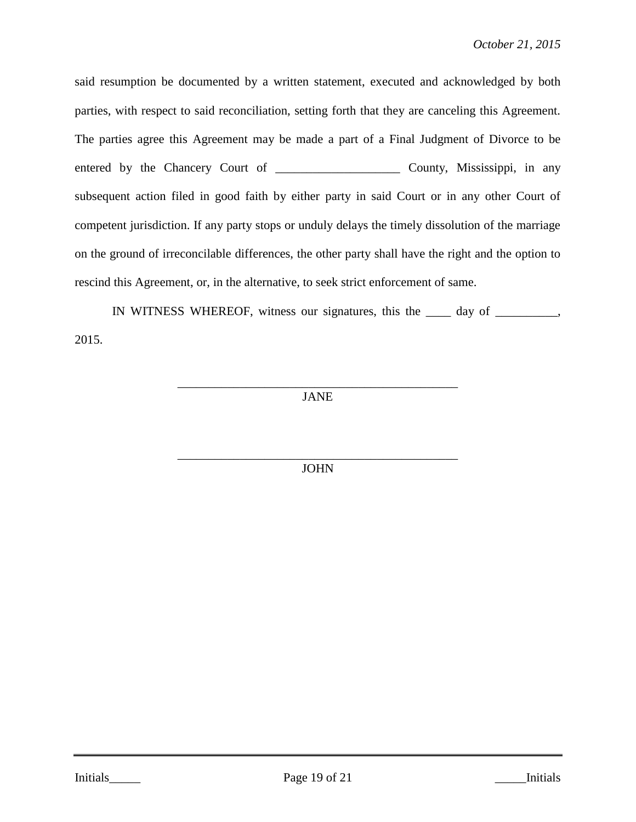said resumption be documented by a written statement, executed and acknowledged by both parties, with respect to said reconciliation, setting forth that they are canceling this Agreement. The parties agree this Agreement may be made a part of a Final Judgment of Divorce to be entered by the Chancery Court of \_\_\_\_\_\_\_\_\_\_\_\_\_\_\_\_\_\_\_\_ County, Mississippi, in any subsequent action filed in good faith by either party in said Court or in any other Court of competent jurisdiction. If any party stops or unduly delays the timely dissolution of the marriage on the ground of irreconcilable differences, the other party shall have the right and the option to rescind this Agreement, or, in the alternative, to seek strict enforcement of same.

IN WITNESS WHEREOF, witness our signatures, this the \_\_\_\_ day of \_\_\_\_\_\_\_\_\_\_, 2015.

> \_\_\_\_\_\_\_\_\_\_\_\_\_\_\_\_\_\_\_\_\_\_\_\_\_\_\_\_\_\_\_\_\_\_\_\_\_\_\_\_\_\_\_\_\_ JANE

> \_\_\_\_\_\_\_\_\_\_\_\_\_\_\_\_\_\_\_\_\_\_\_\_\_\_\_\_\_\_\_\_\_\_\_\_\_\_\_\_\_\_\_\_\_ JOHN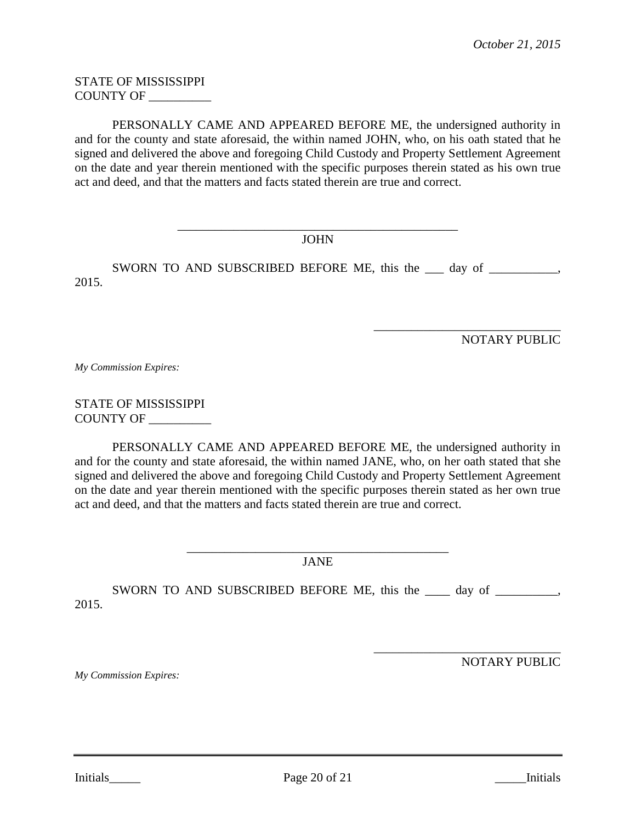STATE OF MISSISSIPPI COUNTY OF \_\_\_\_\_\_\_\_\_\_

PERSONALLY CAME AND APPEARED BEFORE ME, the undersigned authority in and for the county and state aforesaid, the within named JOHN, who, on his oath stated that he signed and delivered the above and foregoing Child Custody and Property Settlement Agreement on the date and year therein mentioned with the specific purposes therein stated as his own true act and deed, and that the matters and facts stated therein are true and correct.

> \_\_\_\_\_\_\_\_\_\_\_\_\_\_\_\_\_\_\_\_\_\_\_\_\_\_\_\_\_\_\_\_\_\_\_\_\_\_\_\_\_\_\_\_\_ JOHN

SWORN TO AND SUBSCRIBED BEFORE ME, this the \_\_\_ day of \_\_\_\_\_\_\_\_\_, 2015.

NOTARY PUBLIC

\_\_\_\_\_\_\_\_\_\_\_\_\_\_\_\_\_\_\_\_\_\_\_\_\_\_\_\_\_\_

*My Commission Expires:*

STATE OF MISSISSIPPI COUNTY OF \_\_\_\_\_\_\_\_\_\_

PERSONALLY CAME AND APPEARED BEFORE ME, the undersigned authority in and for the county and state aforesaid, the within named JANE, who, on her oath stated that she signed and delivered the above and foregoing Child Custody and Property Settlement Agreement on the date and year therein mentioned with the specific purposes therein stated as her own true act and deed, and that the matters and facts stated therein are true and correct.

> \_\_\_\_\_\_\_\_\_\_\_\_\_\_\_\_\_\_\_\_\_\_\_\_\_\_\_\_\_\_\_\_\_\_\_\_\_\_\_\_\_\_ JANE

SWORN TO AND SUBSCRIBED BEFORE ME, this the \_\_\_\_ day of \_\_\_\_\_\_\_\_\_, 2015.

*My Commission Expires:*

NOTARY PUBLIC

\_\_\_\_\_\_\_\_\_\_\_\_\_\_\_\_\_\_\_\_\_\_\_\_\_\_\_\_\_\_